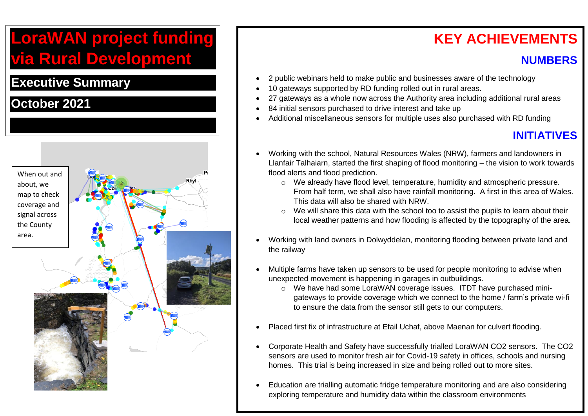# **LoraWAN project funding via Rural Development**

#### **Executive Summary**

### **October 2021**



# **KEY ACHIEVEMENTS**

#### **NUMBERS**

- 2 public webinars held to make public and businesses aware of the technology
- 10 gateways supported by RD funding rolled out in rural areas.
- 27 gateways as a whole now across the Authority area including additional rural areas
- 84 initial sensors purchased to drive interest and take up
- Additional miscellaneous sensors for multiple uses also purchased with RD funding

# **INITIATIVES**

- Working with the school, Natural Resources Wales (NRW), farmers and landowners in Llanfair Talhaiarn, started the first shaping of flood monitoring – the vision to work towards flood alerts and flood prediction.
	- o We already have flood level, temperature, humidity and atmospheric pressure. From half term, we shall also have rainfall monitoring. A first in this area of Wales. This data will also be shared with NRW.
	- $\circ$  We will share this data with the school too to assist the pupils to learn about their local weather patterns and how flooding is affected by the topography of the area.
- Working with land owners in Dolwyddelan, monitoring flooding between private land and the railway
- Multiple farms have taken up sensors to be used for people monitoring to advise when unexpected movement is happening in garages in outbuildings.
	- $\circ$  We have had some LoraWAN coverage issues. ITDT have purchased minigateways to provide coverage which we connect to the home / farm's private wi-fi to ensure the data from the sensor still gets to our computers.
- Placed first fix of infrastructure at Efail Uchaf, above Maenan for culvert flooding.
- Corporate Health and Safety have successfully trialled LoraWAN CO2 sensors. The CO2 sensors are used to monitor fresh air for Covid-19 safety in offices, schools and nursing homes. This trial is being increased in size and being rolled out to more sites.
- Education are trialling automatic fridge temperature monitoring and are also considering exploring temperature and humidity data within the classroom environments